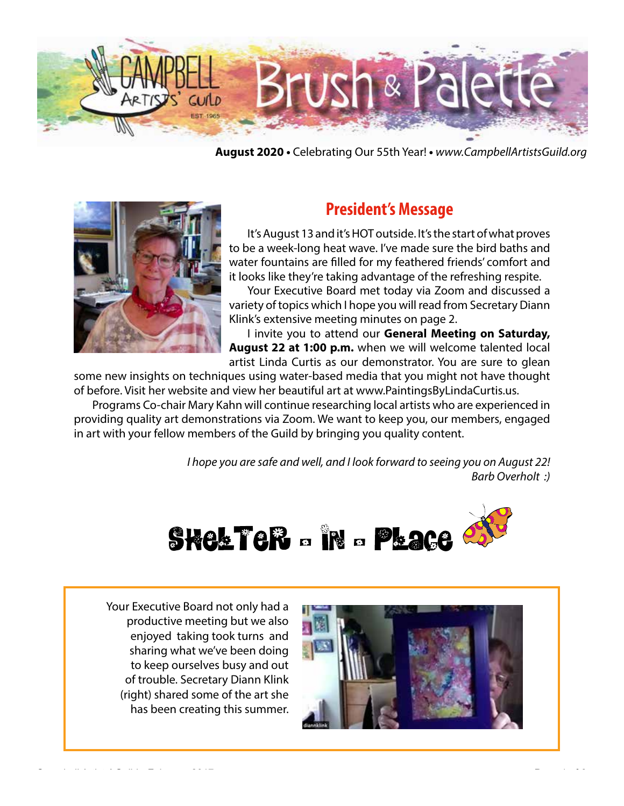

**August 2020 •** Celebrating Our 55th Year! **•** *www.CampbellArtistsGuild.org*



# **President's Message**

It's August 13 and it's HOT outside. It's the start of what proves to be a week-long heat wave. I've made sure the bird baths and water fountains are filled for my feathered friends' comfort and it looks like they're taking advantage of the refreshing respite.

Your Executive Board met today via Zoom and discussed a variety of topics which I hope you will read from Secretary Diann Klink's extensive meeting minutes on page 2.

I invite you to attend our **General Meeting on Saturday, August 22 at 1:00 p.m.** when we will welcome talented local artist Linda Curtis as our demonstrator. You are sure to glean

some new insights on techniques using water-based media that you might not have thought of before. Visit her website and view her beautiful art at www.PaintingsByLindaCurtis.us.

Programs Co-chair Mary Kahn will continue researching local artists who are experienced in providing quality art demonstrations via Zoom. We want to keep you, our members, engaged in art with your fellow members of the Guild by bringing you quality content.

> *I hope you are safe and well, and I look forward to seeing you on August 22! Barb Overholt :)*



Your Executive Board not only had a productive meeting but we also enjoyed taking took turns and sharing what we've been doing to keep ourselves busy and out of trouble. Secretary Diann Klink (right) shared some of the art she has been creating this summer.

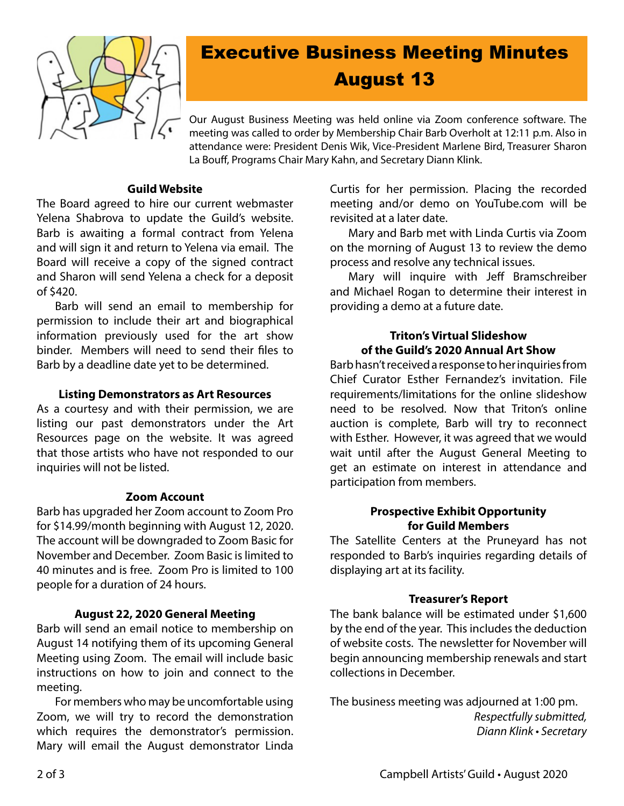

# Executive Business Meeting Minutes August 13

Our August Business Meeting was held online via Zoom conference software. The meeting was called to order by Membership Chair Barb Overholt at 12:11 p.m. Also in attendance were: President Denis Wik, Vice-President Marlene Bird, Treasurer Sharon La Bouff, Programs Chair Mary Kahn, and Secretary Diann Klink.

#### **Guild Website**

The Board agreed to hire our current webmaster Yelena Shabrova to update the Guild's website. Barb is awaiting a formal contract from Yelena and will sign it and return to Yelena via email. The Board will receive a copy of the signed contract and Sharon will send Yelena a check for a deposit of \$420.

Barb will send an email to membership for permission to include their art and biographical information previously used for the art show binder. Members will need to send their files to Barb by a deadline date yet to be determined.

#### **Listing Demonstrators as Art Resources**

As a courtesy and with their permission, we are listing our past demonstrators under the Art Resources page on the website. It was agreed that those artists who have not responded to our inquiries will not be listed.

# **Zoom Account**

Barb has upgraded her Zoom account to Zoom Pro for \$14.99/month beginning with August 12, 2020. The account will be downgraded to Zoom Basic for November and December. Zoom Basic is limited to 40 minutes and is free. Zoom Pro is limited to 100 people for a duration of 24 hours.

# **August 22, 2020 General Meeting**

Barb will send an email notice to membership on August 14 notifying them of its upcoming General Meeting using Zoom. The email will include basic instructions on how to join and connect to the meeting.

For members who may be uncomfortable using Zoom, we will try to record the demonstration which requires the demonstrator's permission. Mary will email the August demonstrator Linda

Curtis for her permission. Placing the recorded meeting and/or demo on YouTube.com will be revisited at a later date.

Mary and Barb met with Linda Curtis via Zoom on the morning of August 13 to review the demo process and resolve any technical issues.

Mary will inquire with Jeff Bramschreiber and Michael Rogan to determine their interest in providing a demo at a future date.

#### **Triton's Virtual Slideshow of the Guild's 2020 Annual Art Show**

Barb hasn't received a response to her inquiries from Chief Curator Esther Fernandez's invitation. File requirements/limitations for the online slideshow need to be resolved. Now that Triton's online auction is complete, Barb will try to reconnect with Esther. However, it was agreed that we would wait until after the August General Meeting to get an estimate on interest in attendance and participation from members.

# **Prospective Exhibit Opportunity for Guild Members**

The Satellite Centers at the Pruneyard has not responded to Barb's inquiries regarding details of displaying art at its facility.

# **Treasurer's Report**

The bank balance will be estimated under \$1,600 by the end of the year. This includes the deduction of website costs. The newsletter for November will begin announcing membership renewals and start collections in December.

The business meeting was adjourned at 1:00 pm. *Respectfully submitted,* Diann Klink • Secretary